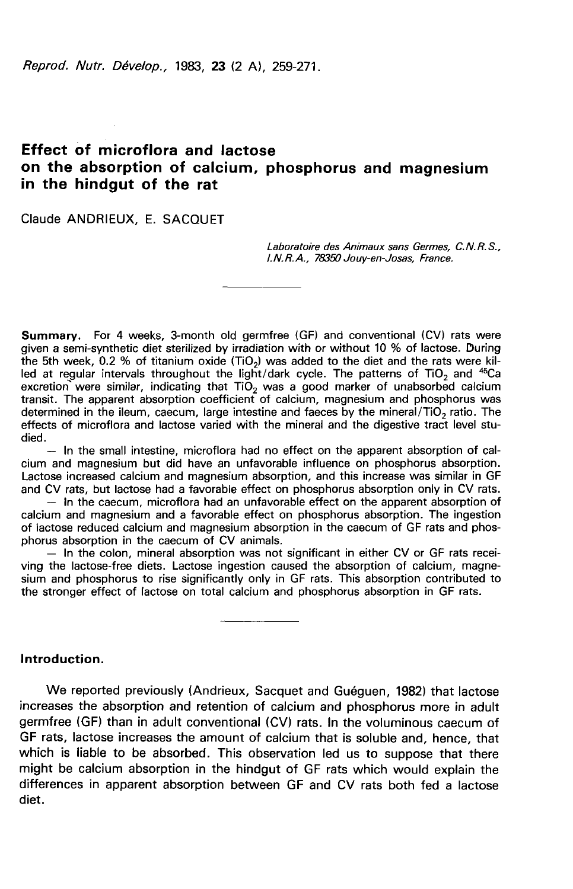# Effect of microflora and lactose on the absorption of calcium, phosphorus and magnesium in the hindgut of the rat

# Claude ANDRIEUX, E. SACQUET

Laboratoire des Animaux sans Germes, C.N.R.S., I.N.R.A., 78350 Jouv-en-Josas, France.

Summary. For 4 weeks, 3-month old germfree (GF) and conventional (CV) rats were given a semi-synthetic diet sterilized by irradiation with or without 10 % of lactose. During<br>the 5th week, 0.2 % of titanium oxide (TiO<sub>2</sub>) was added to the diet and the rats were kil-**Summary.** For 4 weeks, 3-month old germfree (GF) and conventional (CV) rats were given a semi-synthetic diet sterilized by irradiation with or without 10 % of lactose. During the 5th week, 0.2 % of titanium oxide (TiO<sub>2</sub> led at regular intervals throughout the light/dark cycle. The patterns of TiO<sub>2</sub> and <sup>45</sup>Ca excretion were similar indicating that TiO<sub>2</sub> was a good marker of unabsorbed calcium Let at regular intervals throughout the light/dark cycle. The patterns of  $TiO<sub>2</sub>$  and <sup>45</sup>Ca excretion were similar, indicating that  $TiO<sub>2</sub>$  was a good marker of unabsorbed calcium transit. The apparent absorption **Summary.** For 4 weeks, 3-month old germfree (GF) and conventional (CV) rats were given a semi-synthetic diet sterilized by irradiation with or without 10 % of lactose. During the 5th week, 0.2 % of titanium oxide (TiO<sub>2</sub> effects of microflora and lactose varied with the mineral and the digestive tract level stu-<br>died.

- In the small intestine, microflora had no effect on the apparent absorption of calcium and magnesium but did have an unfavorable influence on phosphorus absorption. Lactose increased calcium and magnesium absorption, and this increase was similar in GF and CV rats, but lactose had a favorable effect on phosphorus absorption only in CV rats.

- In the caecum, microflora had an unfavorable effect on the apparent absorption of calcium and magnesium and a favorable effect on phosphorus absorption. The ingestion of lactose reduced calcium and magnesium absorption in the caecum of GF rats and phos-<br>phorus absorption in the caecum of CV animals.

 $-$  In the colon, mineral absorption was not significant in either CV or GF rats receiving the lactose-free diets. Lactose ingestion caused the absorption of calcium, magnesium and phosphorus to rise significantly only in GF rats. This absorption contributed to the stronger effect of lactose on total calcium and phosphorus absorption in GF rats.

## Introduction.

We reported previously (Andrieux, Sacquet and Guéguen, 1982) that lactose increases the absorption and retention of calcium and phosphorus more in adult germfree (GF) than in adult conventional (CV) rats. In the voluminous caecum of GF rats, lactose increases the amount of calcium that is soluble and, hence, that which is liable to be absorbed. This observation led us to suppose that there might be calcium absorption in the hindgut of GF rats which would explain the differences in apparent absorption between GF and CV rats both fed a lactose diet.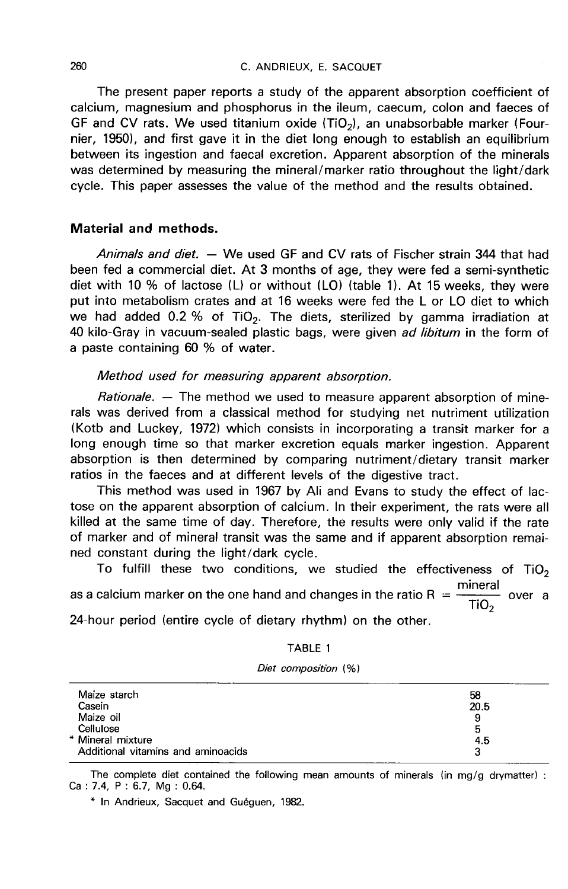#### C. ANDRIEUX. E. SACOUET

The present paper reports a study of the apparent absorption coefficient of calcium, magnesium and phosphorus in the ileum, caecum, colon and faeces of GF and CV rats. We used titanium oxide  $(TiO<sub>2</sub>)$ , an unabsorbable marker (Fournier, 1950), and first gave it in the diet long enough to establish an equilibrium between its ingestion and faecal excretion. Apparent absorption of the minerals was determined by measuring the mineral/marker ratio throughout the light/dark cycle. This paper assesses the value of the method and the results obtained.

## Material and methods.

Animals and diet.  $-$  We used GF and CV rats of Fischer strain 344 that had been fed a commercial diet. At 3 months of age, they were fed a semi-synthetic diet with 10 % of lactose (L) or without (LO) (table 11. At 15 weeks, they were put into metabolism crates and at 16 weeks were fed the L or LO diet to which we had added 0.2 % of TiO<sub>2</sub>. The diets, sterilized by gamma irradiation at 40 kilo-Gray in vacuum-sealed plastic bags, were given ad libitum in the form of a paste containing 60 % of water.

## Method used for measuring apparent absorption.

Rationale.  $-$  The method we used to measure apparent absorption of minerals was derived from a classical method for studying net nutriment utilization (Kotb and Luckey, 1972) which consists in incorporating a transit marker for a long enough time so that marker excretion equals marker ingestion. Apparent absorption is then determined by comparing nutriment/dietary transit marker ratios in the faeces and at different levels of the digestive tract.

This method was used in 1967 by Ali and Evans to study the effect of lactose on the apparent absorption of calcium. In their experiment, the rats were all killed at the same time of day. Therefore, the results were only valid if the rate of marker and of mineral transit was the same and if apparent absorption remained constant during the light/dark cycle.

med constant during the light/dark cycle.<br>
To fulfill these two conditions, we studied the effectiveness of TiO<sub>2</sub><br>
as a calcium marker on the one hand and changes in the ratio R =  $\frac{\text{mineral}}{\text{TiO}_2}$  over a<br>
24-hour perio  $\mathsf{U}$ 24-hour period (entire cycle of dietary rhythm) on the other.

| د ا<br>o. |  |  |
|-----------|--|--|
|-----------|--|--|

#### Diet composition (%)

| Maize starch<br>Casein             | 58<br>20.5 |
|------------------------------------|------------|
| Maize oil                          | 9          |
| Cellulose                          | 5          |
| * Mineral mixture                  | 4.5        |
| Additional vitamins and aminoacids | 3          |
|                                    |            |

The complete diet contained the following mean amounts of minerals (in mg/g drymatter) :  $Ca: 7.4, P: 6.7, Mg: 0.64.$ 

\* In Andrieux, Sacquet and Guéguen, 1982.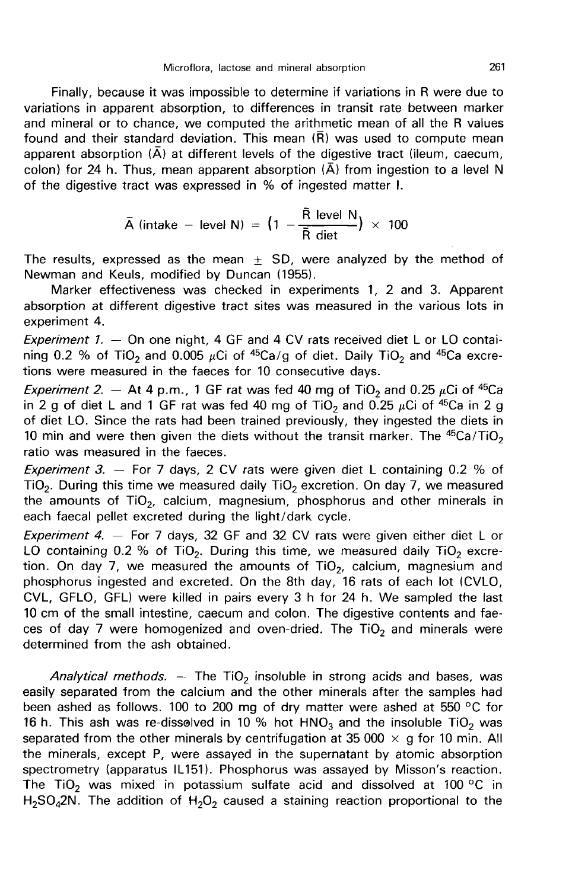Finally, because it was impossible to determine if variations in R were due to variations in apparent absorption, to differences in transit rate between marker and mineral or to chance, we computed the arithmetic mean of all the R values found and their standard deviation. This mean  $(\overline{R})$  was used to compute mean apparent absorption  $(\overline{A})$  at different levels of the digestive tract (ileum, caecum, colon) for 24 h. Thus, mean apparent absorption  $(\overline{A})$  from ingestion to a level N of the digestive tract was expressed in % of ingested matter 1.

$$
\bar{A} \text{ (intake - level N)} = \left(1 - \frac{\bar{R} \text{ level N}}{\bar{R} \text{ diet}}\right) \times 100
$$

The results, expressed as the mean  $\pm$  SD, were analyzed by the method of Newman and Keuls, modified by Duncan (1955).

Marker effectiveness was checked in experiments 1, 2 and 3. Apparent absorption at different digestive tract sites was measured in the various lots in experiment 4.

Experiment 1. - On one night, 4 GF and 4 CV rats received diet L or LO containing 0.2 % of TiO<sub>2</sub> and 0.005  $\mu$ Ci of <sup>45</sup>Ca/g of diet. Daily TiO<sub>2</sub> and <sup>45</sup>Ca excretions were measured in the faeces for 10 consecutive days.

Experiment 2. – At 4 p.m., 1 GF rat was fed 40 mg of TiO<sub>2</sub> and 0.25  $\mu$ Ci of <sup>45</sup>Ca Experiment 2.  $-$  At 4 p.m., 1 GF rat was fed 40 mg of TiO<sub>2</sub> and 0.25  $\mu$ Ci of <sup>45</sup>Ca in 2 g of diet L and 1 GF rat was fed 40 mg of TiO<sub>2</sub> and 0.25  $\mu$ Ci of <sup>45</sup>Ca in 2 g of diet L and 1 GF rat was fed 40 mg of TiO<sub>2</sub> of diet LO. Since the rats had been trained previously, they ingested the diets in ratio was measured in the faeces. 10 min and were then given aeces for 10 consecutive days.<br>
I GF rat was fed 40 mg of TiO<sub>2</sub> and 0.25  $\mu$ Ci of <sup>45</sup>Ca was fed 40 mg of TiO<sub>2</sub> and 0.25  $\mu$ Ci of <sup>45</sup>Ca in 2 g<br>
d been trained previously, they ingested the diets in<br>
the diets without

Experiment 3. – For 7 days, 2 CV rats were given diet L containing 0.2 % of<br>TiO<sub>2</sub>. During this time we measured daily TiO<sub>2</sub> excretion. On day 7, we measured<br>the amounts of TiO<sub>2</sub>, calcium, magnesium, phosphorus and othe  $TiO<sub>2</sub>$ . During this time we measured daily  $TiO<sub>2</sub>$  excretion. On day 7, we measured the amounts of TiO<sub>2</sub>, calcium, magnesium, phosphorus and other minerals in each faecal pellet excreted during the light/dark cycle.

Experiment 4.  $-$  For 7 days, 32 GF and 32 CV rats were given either diet L or Experiment 4.  $-$  For 7 days, 32 GF and 32 CV rats were given either diet L or LO containing 0.2 % of TiO<sub>2</sub>. During this time, we measured daily TiO<sub>2</sub> excre-<br>tion. On day 7, we measured the amounts of TiO<sub>1</sub>, calcium, m Experiment 4.  $-$  1617 days, 52 Gr and 52 CV rats were given entier diet E of<br>LO containing 0.2 % of TiO<sub>2</sub>. During this time, we measured daily TiO<sub>2</sub> excre-<br>tion. On day 7, we measured the amounts of TiO<sub>2</sub>, calcium, ma phosphorus ingested and excreted. On the 8th day, 16 rats of each lot (CVLO, CVL, GFLO, GFL) were killed in pairs every 3 h for 24 h. We sampled the last 10 cm of the small intestine, caecum and colon. The digestive contents and faeces of day 7 were homogenized and oven-dried. The  $TiO<sub>2</sub>$  and minerals were determined from the ash obtained.

Analytical methods.  $-$  The TiO<sub>2</sub> insoluble in strong acids and bases, was easily separated from the calcium and the other minerals after the samples had been ashed as follows. 100 to 200 mg of dry matter were ashed at 550 °C for easily separated from the calcium and the other minerals after the samples had<br>been ashed as follows. 100 to 200 mg of dry matter were ashed at 550 °C for<br>16 h. This ash was re-dissolved in 10 % hot HNO<sub>3</sub> and the insolub separated from the other minerals by centrifugation at 35 000  $\times$  g for 10 min. All the minerals, except P, were assayed in the supernatant by atomic absorption spectrometry (apparatus IL151). Phosphorus was assayed by Misson's reaction.<br>The TiO<sub>2</sub> was mixed in potassium sulfate acid and dissolved at 100 °C in<br>H.S.O.2N. The addition of H.O. coused a staining reaction proportional separated from the other minerals by centrifugation at 35 000  $\times$  g for 10 min. All<br>the minerals, except P, were assayed in the supernatant by atomic absorption<br>spectrometry (apparatus IL151). Phosphorus was assayed by M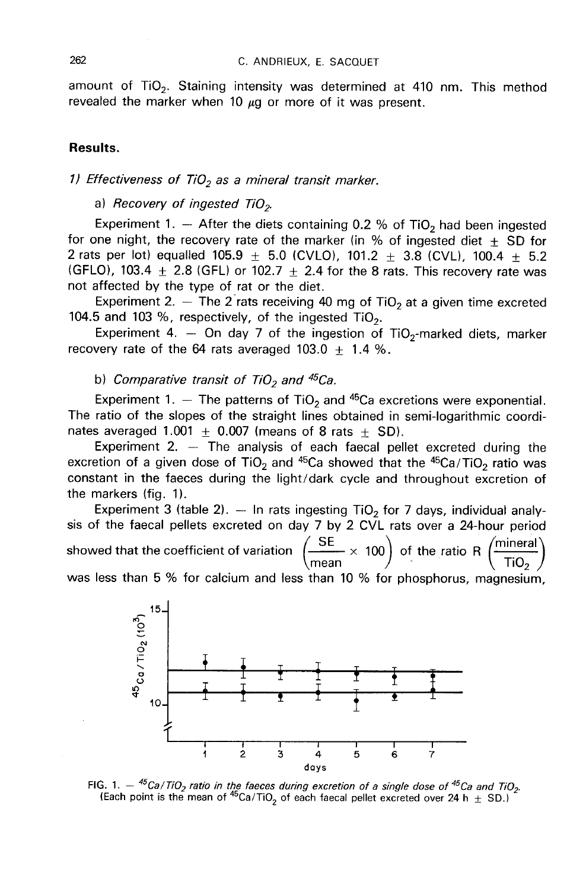262<br>amount of TiO<sub>2</sub>. Staining intensity was determined at 410 nm. This method revealed the marker when 10  $\mu$ g or more of it was present.

# Results.

1) Effectiveness of  $TiO<sub>2</sub>$  as a mineral transit marker.

a) Recovery of ingested  $TiO<sub>2</sub>$ .

Experiment 1. - After the diets containing 0.2 % of TiO<sub>2</sub> had been ingested for one night, the recovery rate of the marker (in % of ingested diet  $\pm$  SD for 2 rats per lot) equalled 105.9  $\pm$  5.0 (CVLO), 101.2 + 3.8 (CVL), 100.4 + 5.2 (GFLO), 103.4  $\pm$  2.8 (GFL) or 102.7  $\pm$  2.4 for the 8 rats. This recovery rate was not affected by the type of rat or the diet.

Experiment 2. - The 2 rats receiving 40 mg of TiO<sub>2</sub> at a given time excreted 104.5 and 103 %, respectively, of the ingested TiO<sub>2</sub>.

Experiment 4. - On day 7 of the ingestion of TiO<sub>2</sub>-marked diets, marker recovery rate of the 64 rats averaged  $103.0 + 1.4\%$ .

b) Comparative transit of TiO<sub>2</sub> and <sup>45</sup>Ca.

Experiment 1. - The patterns of TiO<sub>2</sub> and <sup>45</sup>Ca excretions were exponential. The ratio of the slopes of the straight lines obtained in semi-logarithmic coordinates averaged  $1.001 + 0.007$  (means of 8 rats  $+$  SD).

Experiment 2.  $-$  The analysis of each faecal pellet excreted during the excretion of a given dose of TiO<sub>2</sub> and <sup>45</sup>Ca showed that the <sup>45</sup>Ca/TiO<sub>2</sub> ratio was constant in the faeces during the light/dark cycle and throughout excretion of the markers (fig. 1).

Experiment 3 (table 2).  $-$  In rats ingesting TiO<sub>2</sub> for 7 days, individual analysis of the faecal pellets excreted on day 7 by 2 CVL rats over a 24-hour period showed that the coefficient of variation  $\left(\frac{\text{SE}}{\text{mean}} \times 100\right)$  of the ratio R  $\left(\frac{\text{mineral}}{\text{TiO}_2}\right)$  was less than 5 % for calcium and less than 10 % for phosphorus, magnesium,



FIG. 1.  $-$  <sup>45</sup>Ca/TiO<sub>2</sub> ratio in the faeces during excretion of a single dose of <sup>45</sup>Ca and TiO<sub>2</sub>.<br>(Each point is the mean of <sup>45</sup>Ca/TiO<sub>2</sub> of each faecal pellet excreted over 24 h  $\pm$  SD.)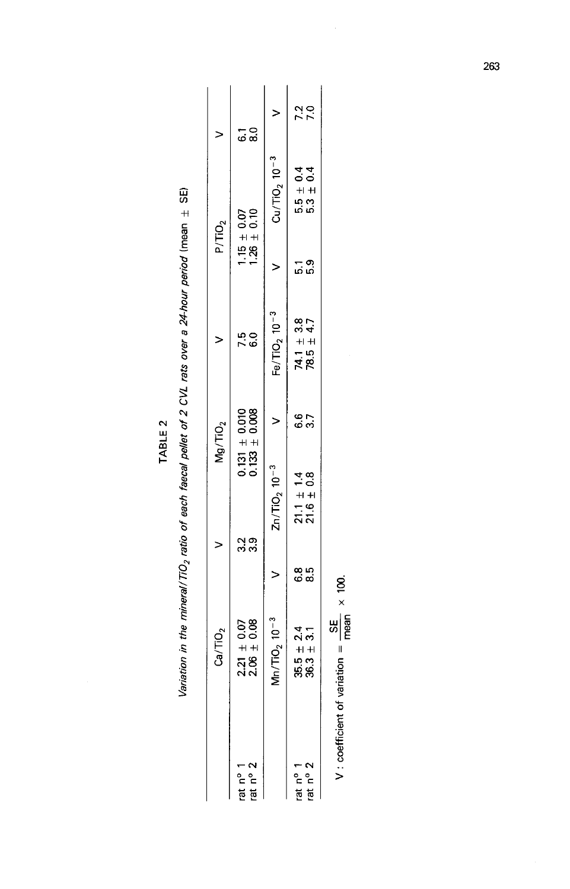| nato ou cor a VI ho<br>$\vdots$         |
|-----------------------------------------|
|                                         |
| - 0201 - 121<br>- 121<br>- 121<br>ミ     |
|                                         |
|                                         |
|                                         |
| ' IIU, ratio of each faecal pellet of 2 |
|                                         |
|                                         |
|                                         |
|                                         |
|                                         |
|                                         |
|                                         |
|                                         |

TABLE 2

|                               | Ca/TiO <sub>2</sub>                |                          |                                  | Mg/TiO <sub>2</sub>                                               |                                     | P/TiO <sub>2</sub>                 |                                |                             |
|-------------------------------|------------------------------------|--------------------------|----------------------------------|-------------------------------------------------------------------|-------------------------------------|------------------------------------|--------------------------------|-----------------------------|
| rat nº $2$<br>rat $n^{\circ}$ | $2.21 \pm 0.07$<br>$2.06 \pm 0.08$ |                          | 2<br>23<br>23                    | $\begin{array}{c} 0.131 \pm 0.010 \\ 0.133 \pm 0.008 \end{array}$ | 5.0<br>7.0                          | $1.15 \pm 0.07$<br>1.26 $\pm$ 0.10 |                                | $\frac{1}{6}$ $\frac{1}{8}$ |
|                               | $Mn/TiO2 10-3$                     | $\overline{\phantom{1}}$ | $2n/TiO210-3$                    |                                                                   | $Fe/TIO2 10-3$                      |                                    | $Cu/TiO2 10-3$                 |                             |
| ಗ ಗಿ <sup>0</sup> 2<br>ಡ ಗೆ   | $35.5 \pm 2.4$<br>$36.3 \pm 3.1$   | ထို့ ကို့<br>ထို့ ထို့   | $21.1 \pm 1.4$<br>$21.6 \pm 0.8$ | 6.7<br>6.7                                                        | $\frac{74.1 \pm 3.8}{78.5 \pm 4.7}$ | 5<br>55                            | $5.5 \pm 0.4$<br>$5.3 \pm 0.4$ | 22<br>7.0                   |
| $11.1 - 16.1 - 1.1$           | 5<br>$\frac{1}{2}$                 | $\ddot{\cdot}$           |                                  |                                                                   |                                     |                                    |                                |                             |

V : coefficient of variation =  $\frac{1}{2}$  x 100.

263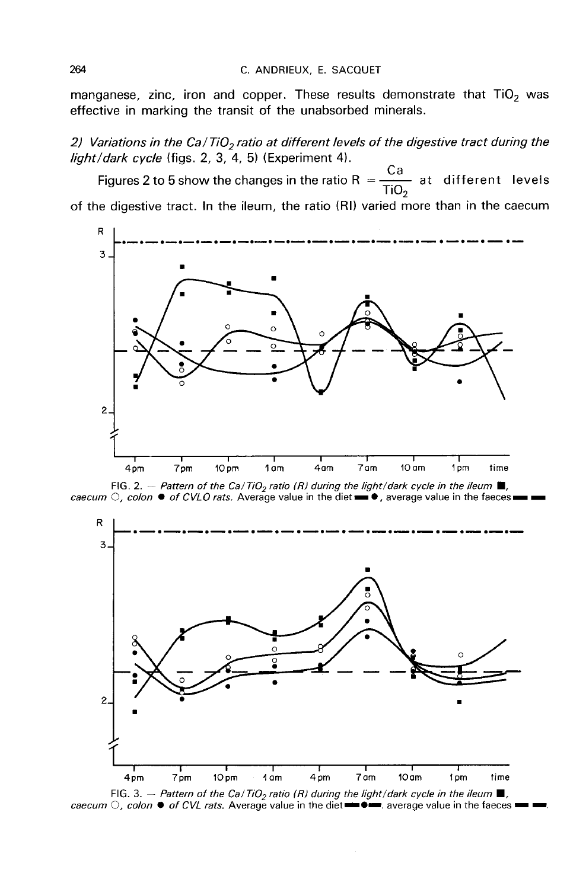c. ANDRIEUX, E. SACQUET<br>manganese, zinc, iron and copper. These results demonstrate that TiO<sub>2</sub> was effective in marking the transit of the unabsorbed minerals.

2) Variations in the Ca/TiO<sub>2</sub> ratio at different levels of the digestive tract during the  $light/dark$  cycle (figs. 2, 3, 4, 5) (Experiment 4).

Figures 2 to 5 show the changes in the ratio R  $=\frac{Ca}{TiO_2}$  at different levels of the digestive tract. In the ileum, the ratio (RI) varied more than in the caecum



FIG. 2. - Pattern of the Ca/TiO<sub>2</sub> ratio (R) during the light/dark cycle in the ileum  $\blacksquare$ , caecum ○, colon ● of CVLO rats. Average value in the diet  $\bullet$ , average value in the faeces



FIG. 3.  $-$  Pattern of the Ca/TiO<sub>2</sub> ratio (R) during the light/dark cycle in the ileum  $\blacksquare$ , caecum ○, colon ● of CVL rats. Average value in the diet – ■ ■ average value in the faeces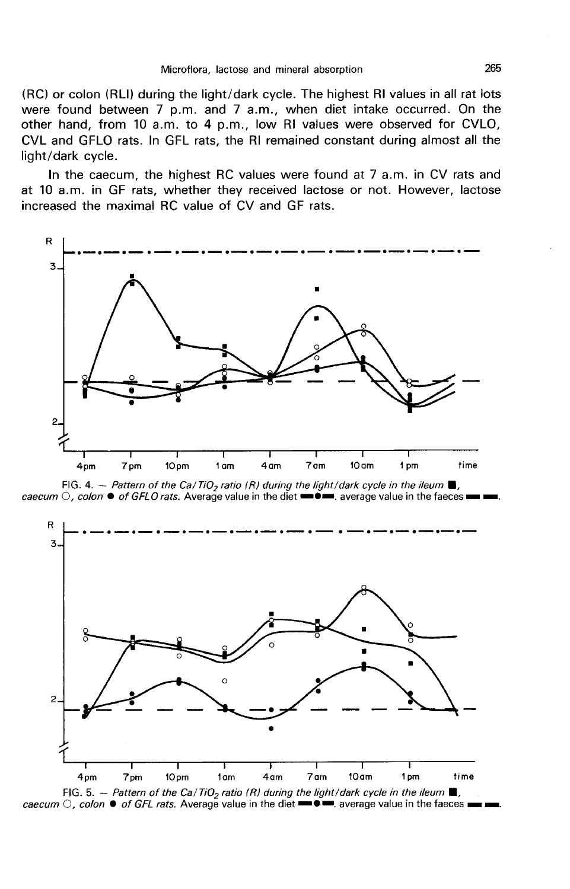(RC) or colon (RLI) during the light/dark cycle. The highest RI values in all rat lots were found between 7 p.m. and 7 a.m., when diet intake occurred. On the other hand, from 10 a.m. to 4 p.m., low Ri values were observed for CVLO, CVL and GFLO rats. In GFL rats, the Ri remained constant during almost all the light/dark cycle.

In the caecum, the highest RC values were found at 7 a.m. in CV rats and at 10 a.m. in GF rats, whether they received lactose or not. However, lactose increased the maximal RC value of CV and GF rats.



FIG. 4. - Pattern of the Ca/TiO<sub>2</sub> ratio (R) during the light/dark cycle in the ileum  $\blacksquare$ , caecum  $\circlearrowright$ , colon  $\bullet$  of GFLO rats. Average value in the diet  $\bullet\bullet\bullet\bullet\bullet$ , average value in the faeces i



FIG. 5. - Pattern of the Ca/TiO<sub>2</sub> ratio (R) during the light/dark cycle in the ileum  $\blacksquare$ , caecum  $\bigcirc$ , colon  $\bullet$  of GFL rats. Average value in the diet  $\bullet$   $\bullet$   $\bullet$  average value in the faeces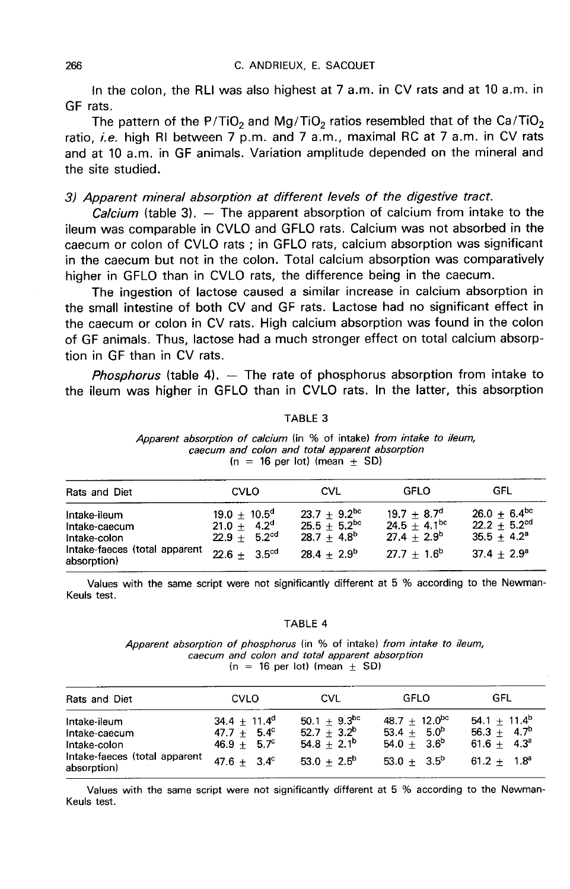In the colon, the RLI was also highest at 7 a.m. in CV rats and at 10 a.m. in GF rats. C. ANDRIEUX, E. SACQUET<br>In the colon, the RLI was also highest at 7 a.m. in CV rats and at 10 a.m. in<br>The pattern of the P/TiO<sub>2</sub> and Mg/TiO<sub>2</sub> ratios resembled that of the Ca/TiO<sub>2</sub>

ratio, *i.e.* high RI between  $7 \text{ p.m.}$  and  $7 \text{ a.m.}$  maximal RC at  $7 \text{ a.m.}$  in CV rats and at 10 a.m. in GF animals. Variation amplitude depended on the mineral and the site studied.

## 3J Apparent mineral absorption at different levels of the digestive tract.

*Calcium* (table 3).  $-$  The apparent absorption of calcium from intake to the ileum was comparable in CVLO and GFLO rats. Calcium was not absorbed in the caecum or colon of CVLO rats ; in GFLO rats, calcium absorption was significant in the caecum but not in the colon. Total calcium absorption was comparatively higher in GFLO than in CVLO rats, the difference being in the caecum.

The ingestion of lactose caused a similar increase in calcium absorption in the small intestine of both CV and GF rats. Lactose had no significant effect in the caecum or colon in CV rats. High calcium absorption was found in the colon of GF animals. Thus, lactose had a much stronger effect on total calcium absorption in GF than in CV rats.

*Phosphorus* (table 4).  $-$  The rate of phosphorus absorption from intake to the ileum was higher in GFLO than in CVLO rats. In the latter, this absorption

#### TABLE 3

Apparent absorption of calcium (in % of intake) from intake to ileum, caecum and colon and total apparent absorption  $(n = 16$  per lot) (mean  $\pm$  SD)

| Rats and Diet                                                                                 | <b>CVLO</b>                                                                 | CVL.                                                                                    | GFLO                                                                        | GFL                                                                                       |
|-----------------------------------------------------------------------------------------------|-----------------------------------------------------------------------------|-----------------------------------------------------------------------------------------|-----------------------------------------------------------------------------|-------------------------------------------------------------------------------------------|
| Intake-ileum<br>Intake-caecum<br>Intake-colon<br>Intake-faeces (total apparent<br>absorption) | $19.0 + 10.5^d$<br>$21.0 + 4.2^d$<br>$22.9 + 5.2^{cd}$<br>$22.6 + 3.5^{cd}$ | 23.7 $\pm$ 9.2 <sup>bc</sup><br>$25.5 + 5.2^{bc}$<br>$28.7 + 4.8^{b}$<br>$28.4 + 2.9^b$ | $19.7 + 8.7^d$<br>$24.5 + 4.1^{\rm bc}$<br>$27.4 + 2.9^b$<br>$27.7 + 1.6^b$ | $26.0 \pm 6.4^{\rm bc}$<br>$22.2 + 5.2$ <sup>cd</sup><br>$35.5 + 4.2^a$<br>$37.4 + 2.9^a$ |

Values with the same script were not significantly different at 5 % according to the Newman-Keuls test.

#### TABLE 4

Apparent absorption of phosphorus (in % of intake) from intake to ileum, caecum and colon and total apparent absorption (n = 16 per lot) (mean  $\pm$  SD)

| Rats and Diet                                                                                 | <b>CVLO</b>                                                                       | CVL.                                                                               | GFLO                                                                                      | GFL                                                                   |
|-----------------------------------------------------------------------------------------------|-----------------------------------------------------------------------------------|------------------------------------------------------------------------------------|-------------------------------------------------------------------------------------------|-----------------------------------------------------------------------|
| Intake-ileum<br>Intake-caecum<br>Intake-colon<br>Intake-faeces (total apparent<br>absorption) | $34.4 + 11.4^d$<br>$47.7 + 5.4^{\circ}$<br>$46.9 + 5.7^{\circ}$<br>$47.6 + 3.4^c$ | 50.1 $\pm$ 9.3 <sup>bc</sup><br>$52.7 + 3.2^b$<br>$54.8 + 2.1^b$<br>$53.0 + 2.5^b$ | 48.7 $\pm$ 12.0 <sup>bc</sup><br>$53.4 + 5.0^b$<br>$54.0 + 3.6^{\circ}$<br>$53.0 + 3.5^b$ | $54.1 + 11.4^b$<br>$56.3 + 4.7^b$<br>$61.6 + 4.3^a$<br>$61.2 + 1.8^a$ |

Values with the same script were not significantly different at 5 % according to the Newman-Keuls test.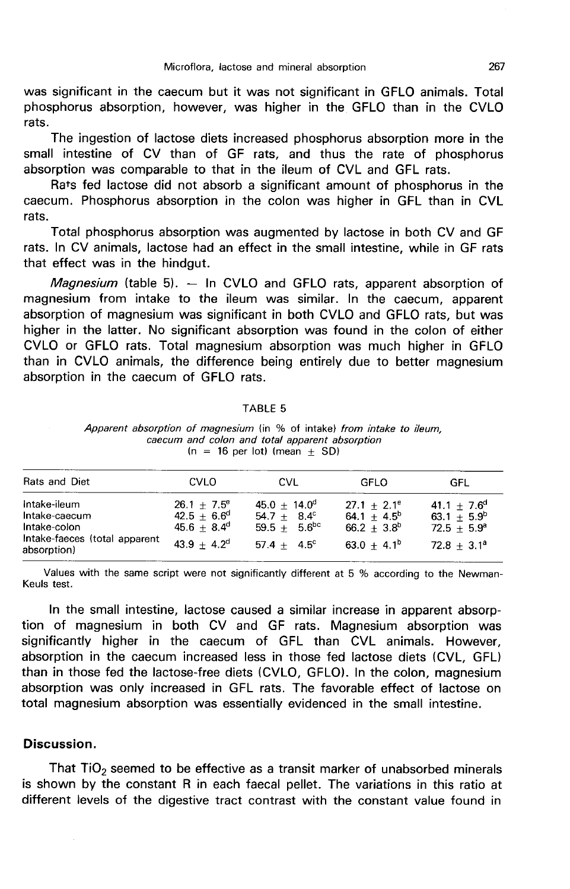was significant in the caecum but it was not significant in GFLO animals. Total phosphorus absorption, however, was higher in the GFLO than in the CVLO rats.

The ingestion of lactose diets increased phosphorus absorption more in the small intestine of CV than of GF rats, and thus the rate of phosphorus absorption was comparable to that in the ileum of CVL and GFL rats.

Rats fed lactose did not absorb a significant amount of phosphorus in the caecum. Phosphorus absorption in the colon was higher in GFL than in CVL rats.

Total phosphorus absorption was augmented by lactose in both CV and GF rats. In CV animals, lactose had an effect in the small intestine, while in GF rats that effect was in the hindgut.

*Magnesium* (table 5).  $-$  In CVLO and GFLO rats, apparent absorption of magnesium from intake to the ileum was similar. In the caecum, apparent absorption of magnesium was significant in both CVLO and GFLO rats, but was higher in the latter. No significant absorption was found in the colon of either CVLO or GFLO rats. Total magnesium absorption was much higher in GFLO than in CVLO animals, the difference being entirely due to better magnesium absorption in the caecum of GFLO rats.

#### TABLE 5

| Apparent absorption of magnesium (in % of intake) from intake to ileum, |
|-------------------------------------------------------------------------|
| caecum and colon and total apparent absorption                          |
| $(n = 16$ per lot) (mean $+$ SD)                                        |

| Rats and Diet                                                                                 | <b>CVLO</b>                                                                | <b>CVL</b>                                                                              | GFLO                                                                   | GFL                                                                 |
|-----------------------------------------------------------------------------------------------|----------------------------------------------------------------------------|-----------------------------------------------------------------------------------------|------------------------------------------------------------------------|---------------------------------------------------------------------|
| Intake-ileum<br>Intake-caecum<br>Intake-colon<br>Intake-faeces (total apparent<br>absorption) | $26.1 + 7.5^{\circ}$<br>$42.5 + 6.6^d$<br>$45.6 + 8.4^d$<br>$43.9 + 4.2^d$ | $45.0 + 14.0^d$<br>$54.7 + 8.4^{\circ}$<br>$59.5 + 5.6^{\circ}$<br>$57.4 + 4.5^{\circ}$ | $27.1 + 2.1^e$<br>$64.1 + 4.5^b$<br>$66.2 + 3.8^{b}$<br>$63.0 + 4.1^b$ | $41.1 + 7.6^d$<br>$63.1 + 5.9^b$<br>$72.5 + 5.9^a$<br>$72.8 + 3.1a$ |

Values with the same script were not significantly different at 5 % according to the Newman-Keuls test.

In the small intestine, lactose caused a similar increase in apparent absorption of magnesium in both CV and GF rats. Magnesium absorption was significantly higher in the caecum of GFL than CVL animals. However, absorption in the caecum increased less in those fed lactose diets (CVL, GFL) than in those fed the lactose-free diets (CVLO, GFLO). In the colon, magnesium absorption was only increased in GFL rats. The favorable effect of lactose on total magnesium absorption was essentially evidenced in the small intestine.

# Discussion.

That TiO<sub>2</sub> seemed to be effective as a transit marker of unabsorbed minerals is shown by the constant R in each faecal pellet. The variations in this ratio at different levels of the digestive tract contrast with the constant value found in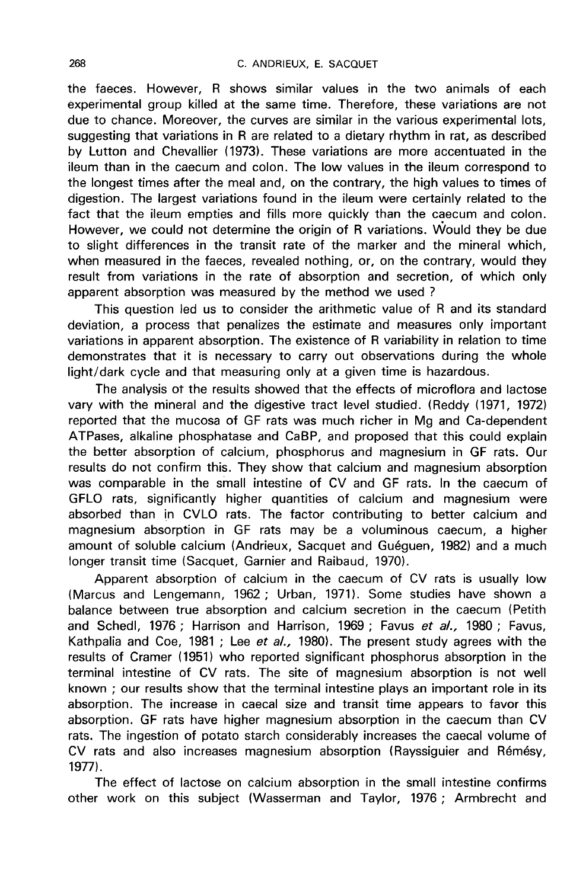the faeces. However, R shows similar values in the two animals of each experimental group killed at the same time. Therefore, these variations are not due to chance. Moreover, the curves are similar in the various experimental lots, suggesting that variations in R are related to a dietary rhythm in rat, as described by Lutton and Chevallier (1973). These variations are more accentuated in the ileum than in the caecum and colon. The low values in the ileum correspond to the longest times after the meal and, on the contrary, the high values to times of digestion. The largest variations found in the ileum were certainly related to the fact that the ileum empties and fills more quickly than the caecum and colon. However, we could not determine the origin of R variations. Would they be due to slight differences in the transit rate of the marker and the mineral which, when measured in the faeces, revealed nothing, or, on the contrary, would they result from variations in the rate of absorption and secretion, of which only apparent absorption was measured by the method we used ?

This question led us to consider the arithmetic value of R and its standard deviation, a process that penalizes the estimate and measures only important variations in apparent absorption. The existence of R variability in relation to time demonstrates that it is necessary to carry out observations during the whole light/dark cycle and that measuring only at a given time is hazardous.

The analysis ot the results showed that the effects of microflora and lactose vary with the mineral and the digestive tract level studied. (Reddy (1971, 1972) reported that the mucosa of GF rats was much richer in Mg and Ca-dependent ATPases, alkaline phosphatase and CaBP, and proposed that this could explain the better absorption of calcium, phosphorus and magnesium in GF rats. Our<br>results do not confirm this. They show that calcium and magnesium absorption was comparable in the small intestine of CV and GF rats. In the caecum of GFLO rats, significantly higher quantities of calcium and magnesium were absorbed than in CVLO rats. The factor contributing to better calcium and magnesium absorption in GF rats may be a voluminous caecum, a higher amount of soluble calcium (Andrieux, Sacquet and Guéguen, 1982) and a much longer transit time (Sacquet, Garnier and Raibaud, 1970).

Apparent absorption of calcium in the caecum of CV rats is usually low (Marcus and Lengemann, 1962 ; Urban, 1971). Some studies have shown a balance between true absorption and calcium secretion in the caecum (Petith and Schedl, 1976; Harrison and Harrison, 1969; Favus et al., 1980; Favus, Kathpalia and Coe, 1981 ; Lee et al., 1980). The present study agrees with the results of Cramer (1951) who reported significant phosphorus absorption in the terminal intestine of CV rats. The site of magnesium absorption is not well known ; our results show that the terminal intestine plays an important role in its absorption. The increase in caecal size and transit time appears to favor this absorption. GF rats have higher magnesium absorption in the caecum than CV rats. The ingestion of potato starch considerably increases the caecal volume of CV rats and also increases magnesium absorption (Rayssiguier and Rémésy, 1977).

The effect of lactose on calcium absorption in the small intestine confirms other work on this subject (Wasserman and Taylor, 1976 ; Armbrecht and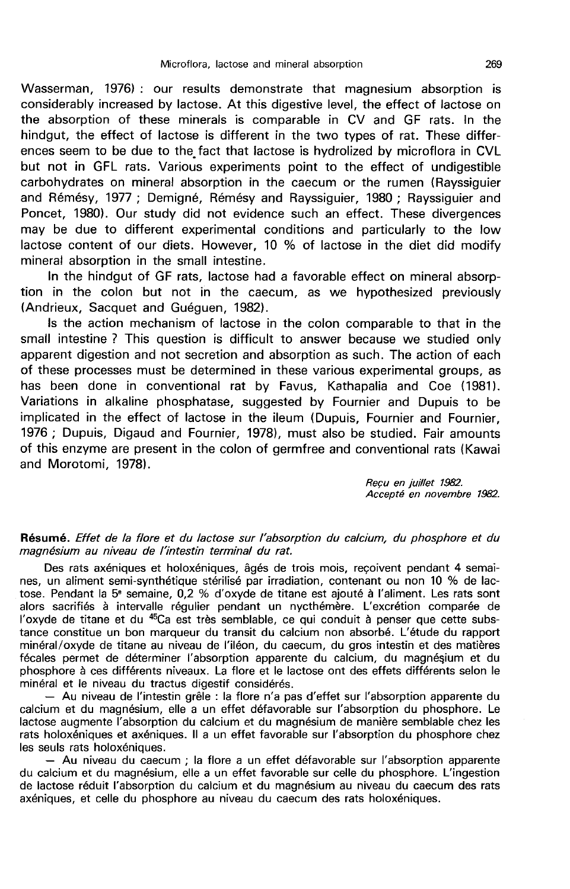Wasserman, 1976) : our results demonstrate that magnesium absorption is considerably increased by lactose. At this digestive level, the effect of lactose on the absorption of these minerals is comparable in CV and GF rats. In the hindgut, the effect of lactose is different in the two types of rat. These differences seem to be due to the, fact that lactose is hydrolized by microflora in CVL but not in GFL rats. Various experiments point to the effect of undigestible carbohydrates on mineral absorption in the caecum or the rumen (Rayssiguier and Rémésy, 1977 ; Demigné, Rémésy and Rayssiguier, 1980 ; Rayssiguier and Poncet, 1980). Our study did not evidence such an effect. These divergences may be due to different experimental conditions and particularly to the low lactose content of our diets. However, 10 % of lactose in the diet did modify mineral absorption in the small intestine.

In the hindgut of GF rats, lactose had a favorable effect on mineral absorption in the colon but not in the caecum, as we hypothesized previously (Andrieux, Sacquet and Guéguen, 1982).

Is the action mechanism of lactose in the colon comparable to that in the small intestine ? This question is difficult to answer because we studied only apparent digestion and not secretion and absorption as such. The action of each of these processes must be determined in these various experimental groups, as has been done in conventional rat by Favus, Kathapalia and Coe (1981). Variations in alkaline phosphatase, suggested by Fournier and Dupuis to be implicated in the effect of lactose in the ileum (Dupuis, Fournier and Fournier, 1976 ; Dupuis, Digaud and Fournier, 1978), must also be studied. Fair amounts of this enzyme are present in the colon of germfree and conventional rats (Kawai and Morotomi, 1978).

> Reçu en juillet 1982. Accepté en novembre 1982.

## Résumé. Effet de la flore et du lactose sur l'absorption du calcium, du phosphore et du magnésium au niveau de l'intestin terminal du rat.

Des rats axéniques et holoxéniques, âgés de trois mois, reçoivent pendant 4 semaines, un aliment semi-synthétique stérilisé par irradiation, contenant ou non 10 % de lactose. Pendant la 5<sup>e</sup> semaine, 0,2 % d'oxyde de titane est ajouté à l'aliment. Les rats sont alors sacrifiés à intervalle régulier pendant un nycthémère. L'excrétion comparée de l'oxyde de titane et du <sup>45</sup>Ca est très semblable, ce qui conduit à penser que cette substance constitue un bon marqueur du transit du calcium non absorbé. L'étude du rapport minéral/oxyde de titane au niveau de l'iléon, du caecum, du gros intestin et des matières fécales permet de déterminer l'absorption apparente du calcium, du magnésium et du phosphore à ces différents niveaux. La flore et le lactose ont des effets différents selon le<br>minéral et le niveau du tractus digestif considérés.

 $-$  Au niveau de l'intestin grêle : la flore n'a pas d'effet sur l'absorption apparente du calcium et du magnésium, elle a un effet défavorable sur l'absorption du phosphore. Le lactose augmente l'absorption du calcium et du magnésium de manière semblable chez les rats holoxéniques et axéniques. Il a un effet favorable sur l'absorption du phosphore chez<br>les seuls rats holoxéniques.

- Au niveau du caecum ; la flore a un effet défavorable sur l'absorption apparente du calcium et du magnésium, elle a un effet favorable sur celle du phosphore. L'ingestion de lactose réduit l'absorption du calcium et du magnésium au niveau du caecum des rats axéniques, et celle du phosphore au niveau du caecum des rats holoxéniques.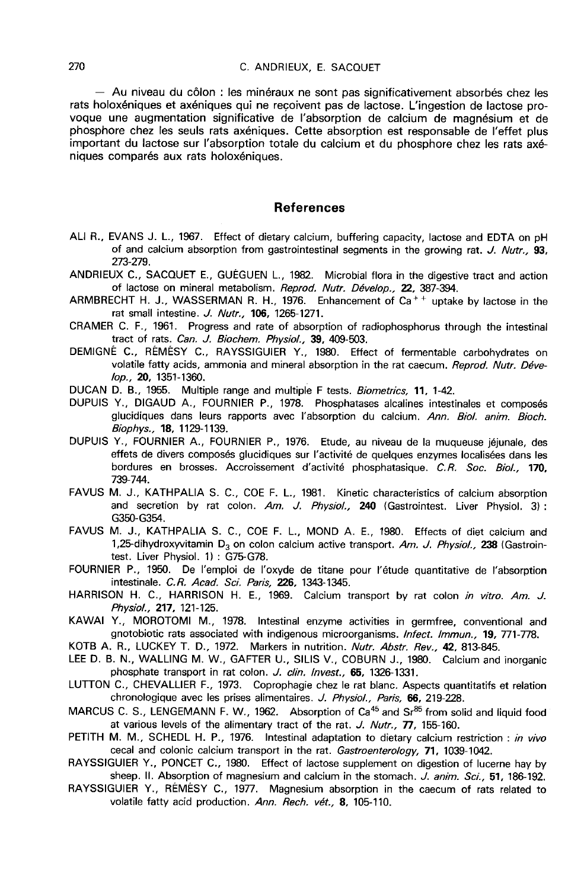- Au niveau du côlon : les minéraux ne sont pas significativement absorbés chez les rats holoxéniques et axéniques qui ne reçoivent pas de lactose. L'ingestion de lactose provoque une augmentation significative de l'absorption de calcium de magnésium et de phosphore chez les seuls rats axéniques. Cette absorption est responsable de l'effet plus important du lactose sur l'absorption totale du calcium et du phosphore chez les rats axéniques comparés aux rats holoxéniques.

#### References

- ALI R., EVANS J. L., 1967. Effect of dietary calcium, buffering capacity, lactose and EDTA on pH of and calcium absorption from gastrointestinal segments in the growing rat. J. Nutr., 93, 273-279.
- ANDRIEUX C., SACQUET E., GUÉGUEN L., 1982. Microbial flora in the digestive tract and action of lactose on mineral metabolism. Reprod. Nutr. Dévelop., 22, 387-394.
- ARMBRECHT H. J., WASSERMAN R. H., 1976. Enhancement of Ca<sup>++</sup> uptake by lactose in the rat small intestine. J. Nutr., 106, 1265-1271.
- CRAMER C. F., 1961. Progress and rate of absorption of radiophosphorus through the intestinal tract of rats. Can. J. Biochem. Physiol., 39, 409-503.
- DEMIGNE C., REMESY C., RAYSSIGUIER Y., 1980. Effect of fermentable carbohydrates on volatile fatty acids, ammonia and mineral absorption in the rat caecum. Reprod. Nutr. Déve-/op., 20, 1351-1360.
- DUCAN D. B., 1955. Multiple range and multiple F tests. Biometrics, 11, 1-42.
- DUPUIS Y., DIGAUD A., FOURNIER P., 1978. Phosphatases alcalines intestinales et composes glucidiques dans leurs rapports avec l'absorption du calcium. Ann. Biol. anim. Bioch. Biophys., 18, 1129-1139.
- DUPUIS Y., FOURNIER A., FOURNIER P., 1976. Etude, au niveau de la muqueuse j6junale, des effets de divers composés glucidiques sur l'activité de quelques enzymes localisées dans les bordures en brosses. Accroissement d'activité phosphatasique. C.R. Soc. Biol., 170, 739-744.
- FAVUS M. J., KATHPALIA S. C., COE F. L., 1981. Kinetic characteristics of calcium absorption and secretion by rat colon. Am. J. Physiol., 240 (Gastrointest. Liver Physiol. 3) : G350-G354.
- FAVUS M. J., KATHPALIA S. C., COE F. L., MOND A. E., 1980. Effects of diet calcium and 1,25-dihydroxyvitamin  $D_3$  on colon calcium active transport. Am. J. Physiol., 238 (Gastrointest. Liver Physiol. 1) : G75-G78.
- FOURNIER P., 1950. De l'emploi de l'oxyde de titane pour l'étude quantitative de l'absorption intestinale. C.R. Acad. Sci. Paris, 226, 1343-1345.
- HARRISON H. C., HARRISON H. E., 1969. Calcium transport by rat colon in vitro. Am. J. Physiol., 217, 121-125.
- KAWAI Y., MOROTOMI M., 1978. Intestinal enzyme activities in germfree, conventional and gnotobiotic rats associated with indigenous microorganisms. Infect. Immun., 19, 771-778.
- KOTB A. R., LUCKEY T. D., 1972. Markers in nutrition. Nutr. Abstr. Rev., 42, 813-845.
- LEE D. B. N., WALLING M. W., GAFTER U., SILIS V., COBURN J., 1980. Calcium and inorganic phosphate transport in rat colon. J. clin. Invest., 65, 1326-1331.
- LUTTON C., CHEVALLIER F., 1973. Coprophagie chez le rat blanc. Aspects quantitatifs et relation chronologique avec les prises alimentaires. J. Physiol., Paris, 66, 219-228.
- MARCUS C. S., LENGEMANN F. W., 1962. Absorption of Ca<sup>45</sup> and Sr<sup>85</sup> from solid and liquid food at various levels of the alimentary tract of the rat. J. Nutr., 77, 155-160.
- PETITH M. M., SCHEDL H. P., 1976. Intestinal adaptation to dietary calcium restriction : in vivo cecal and colonic calcium transport in the rat. Gastroenterology, 71, 1039-1042.
- RAYSSIGUIER Y., PONCET C., 1980. Effect of lactose supplement on digestion of lucerne hay by sheep. II. Absorption of magnesium and calcium in the stomach. J. anim. Sci., 51, 186-192.
- RAYSSIGUIER Y., REMESY C., 1977. Magnesium absorption in the caecum of rats related to volatile fatty acid production. Ann. Rech. vét., 8, 105-110.